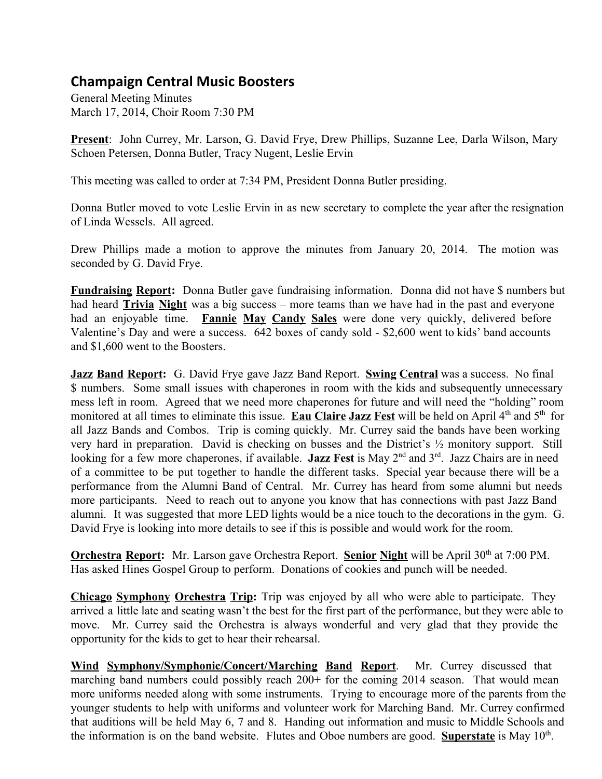## **Champaign Central Music Boosters**

General Meeting Minutes March 17, 2014, Choir Room 7:30 PM

**Present**: John Currey, Mr. Larson, G. David Frye, Drew Phillips, Suzanne Lee, Darla Wilson, Mary Schoen Petersen, Donna Butler, Tracy Nugent, Leslie Ervin

This meeting was called to order at 7:34 PM, President Donna Butler presiding.

Donna Butler moved to vote Leslie Ervin in as new secretary to complete the year after the resignation of Linda Wessels. All agreed.

Drew Phillips made a motion to approve the minutes from January 20, 2014. The motion was seconded by G. David Frye.

**Fundraising Report:** Donna Butler gave fundraising information. Donna did not have \$ numbers but had heard **Trivia Night** was a big success – more teams than we have had in the past and everyone had an enjoyable time. **Fannie May Candy Sales** were done very quickly, delivered before Valentine's Day and were a success. 642 boxes of candy sold - \$2,600 went to kids' band accounts and \$1,600 went to the Boosters.

**Jazz Band Report:** G. David Frye gave Jazz Band Report. **Swing Central** was a success. No final \$ numbers. Some small issues with chaperones in room with the kids and subsequently unnecessary mess left in room. Agreed that we need more chaperones for future and will need the "holding" room monitored at all times to eliminate this issue. **Eau Claire Jazz Fest** will be held on April 4<sup>th</sup> and 5<sup>th</sup> for all Jazz Bands and Combos. Trip is coming quickly. Mr. Currey said the bands have been working very hard in preparation. David is checking on busses and the District's ½ monitory support. Still looking for a few more chaperones, if available. Jazz Fest is May 2<sup>nd</sup> and 3<sup>rd</sup>. Jazz Chairs are in need of a committee to be put together to handle the different tasks. Special year because there will be a performance from the Alumni Band of Central. Mr. Currey has heard from some alumni but needs more participants. Need to reach out to anyone you know that has connections with past Jazz Band alumni. It was suggested that more LED lights would be a nice touch to the decorations in the gym. G. David Frye is looking into more details to see if this is possible and would work for the room.

**Orchestra Report:** Mr. Larson gave Orchestra Report. Senior Night will be April 30<sup>th</sup> at 7:00 PM. Has asked Hines Gospel Group to perform. Donations of cookies and punch will be needed.

**Chicago Symphony Orchestra Trip:** Trip was enjoyed by all who were able to participate. They arrived a little late and seating wasn't the best for the first part of the performance, but they were able to move. Mr. Currey said the Orchestra is always wonderful and very glad that they provide the opportunity for the kids to get to hear their rehearsal.

**Wind Symphony/Symphonic/Concert/Marching Band Report**. Mr. Currey discussed that marching band numbers could possibly reach 200+ for the coming 2014 season. That would mean more uniforms needed along with some instruments. Trying to encourage more of the parents from the younger students to help with uniforms and volunteer work for Marching Band. Mr. Currey confirmed that auditions will be held May 6, 7 and 8. Handing out information and music to Middle Schools and the information is on the band website. Flutes and Oboe numbers are good. **Superstate** is May 10<sup>th</sup>.